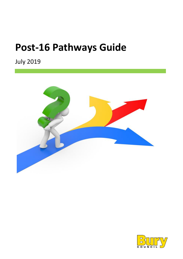# **Post-16 Pathways Guide**

July 2019



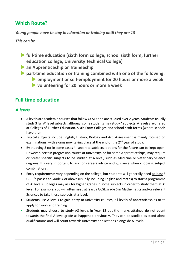### **Which Route?**

*Young people have to stay in education or training until they are 18*

*This can be* 

- **full-time education (sixth form college, school sixth form, further education college, University Technical College)**
- **an Apprenticeship or Traineeship**
- **part-time education or training combined with one of the following:** 
	- **employment or self-employment for 20 hours or more a week**
	- **volunteering for 20 hours or more a week**

### **Full time education**

#### *A levels*

- A levels are academic courses that follow GCSEs and are studied over 2 years. Students usually study 3 full A' level subjects, although some students may study 4 subjects. A levels are offered at Colleges of Further Education, Sixth Form Colleges and school sixth forms (where schools have them).
- Typical subjects include English, History, Biology and Art. Assessment is mainly focused on examinations, with exams now taking place at the end of the  $2^{nd}$  year of study.
- By studying 3 (or in some cases 4) separate subjects, options for the future can be kept open. However, certain progression routes at university, or for some Apprenticeships, may require or prefer specific subjects to be studied at A level, such as Medicine or Veterinary Science degrees. It's very important to ask for careers advice and guidance when choosing subject combinations.
- Entry requirements vary depending on the college, but students will generally need at least 5 GCSE's passes at Grade 4 or above (usually including English and maths) to start a programme of A' levels. Colleges may ask for higher grades in some subjects in order to study them at A' level. For example, you will often need at least a GCSE grade 6 in Mathematics and/or relevant Sciences to take these subjects at a level.
- Students use A levels to gain entry to university courses, all levels of apprenticeships or to apply for work and training.
- Students may choose to study AS levels in Year 12 but the marks attained do not count towards the final A level grade as happened previously. They can be studied as stand-alone qualifications and will count towards university applications alongside A levels.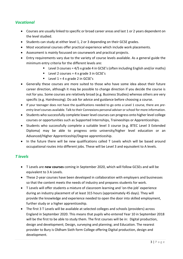#### *Vocational*

- Courses are usually linked to specific or broad career areas and last 1 or 2 years dependent on the level studied.
- Students can study at either level 1, 2 or 3 depending on their GCSE grades.
- Most vocational courses offer practical experience which include work placements.
- Assessment is mainly focussed on coursework and practical projects.
- Entry requirements vary due to the variety of course levels available. As a general guide the minimum entry criteria for the different levels are:
	- **Level 3 courses = 4/5 x grade 4 in GCSE's (often including English and/or maths)**
	- Level 2 courses =  $4 \times$  grade 3 in GCSE's
	- Ullevel  $1 = 4x$  grade 2 in GCSE's
- Generally these courses are more suited to those who have some idea about their future career direction, although it may be possible to change direction if you decide the course is not for you. Some courses are relatively broad (e.g. Business Studies) whereas others are very specific (e.g. Hairdressing). Do ask for advice and guidance before choosing a course.
- If your teenager does not have the qualifications needed to go onto a Level 1 course, there are *preentry level* courses available. Talk to their Connexions personal adviser or school for more information.
- Students who successfully complete lower level courses can progress onto higher level college courses or opportunities such as Supported Internships, Traineeships or Apprenticeships.
- Students who successfully complete a suitable level 3 course (e.g. BTEC Level 3 Extended Diploma) may be able to progress onto university/higher level education or an Advanced/Higher Apprenticeship/Degree apprenticeship.
- In the future there will be new qualifications called T Levels which will be based around occupational routes into different jobs. These will be Level 3 and equivalent to A levels.

#### *T levels*

- T Levels are **new courses** coming in September 2020, which will follow GCSEs and will be equivalent to 3 A Levels.
- These 2-year courses have been developed in collaboration with employers and businesses so that the content meets the needs of industry and prepares students for work.
- T Levels will offer students a mixture of classroom learning and 'on-the-job' experience during an industry placement of at least 315 hours (approximately 45 days). They will provide the knowledge and experience needed to open the door into skilled employment, further study or a higher apprenticeship.
- The first 3 T Levels will be available at selected colleges and schools (providers) across England in September 2020. This means that pupils who entered Year 10 in September 2018 will be the first to be able to study them. The first courses will be in: Digital production, design and development; Design, surveying and planning; and Education. The nearest provider to Bury is Oldham Sixth form College offering Digital production, design and development.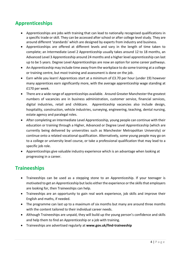### **Apprenticeships**

- Apprenticeships are jobs with training that can lead to nationally recognised qualifications in a specific trade or skill. They can be accessed after school or after college level study. They are around different 'standards' which are designed by experts from industry and business.
- Apprenticeships are offered at different levels and vary in the length of time taken to complete; an Intermediate Level 2 Apprenticeship usually takes around 12 to 18 months, an Advanced Level 3 Apprenticeship around 24 months and a higher level apprenticeship can last up to be 5 years. Degree Level Apprenticeships are now an option for some career pathways.
- An Apprenticeship may include time away from the workplace to do some training at a college or training centre, but most training and assessment is done on the job.
- Earn while you learn! Apprentices start at a minimum of £3.70 per hour (under 19) however many apprentices earn significantly more, with the average apprenticeship wage standing at £170 per week.
- There are a wide range of apprenticeships available. Around Greater Manchester the greatest numbers of vacancies are in business administration, customer service, financial services, digital industries, retail and childcare. Apprenticeship vacancies also include design, hospitality, construction, vehicle industries, surveying, engineering, teaching, dental nursing, estate agency and paralegal roles.
- After completing an Intermediate Level Apprenticeship, young people can continue with their education or training through a Higher, Advanced or Degree Level Apprenticeship (which are currently being delivered by universities such as Manchester Metropolitan University) or continue onto a related vocational qualification. Alternatively, some young people may go on to a college or university level course, or take a professional qualification that may lead to a specific job role.
- Apprenticeships give valuable industry experience which is an advantage when looking at progressing in a career.

### **Traineeships**

- Traineeships can be used as a stepping stone to an Apprenticeship. If your teenager is motivated to get an Apprenticeship but lacks either the experience or the skills that employers are looking for, then Traineeships can help.
- Traineeships are an opportunity to gain real work experience, job skills and improve their English and maths, if needed.
- The programme can last up to a maximum of six months but many are around three months with the content tailored to their individual career needs.
- Although Traineeships are unpaid, they will build up the young person's confidence and skills and help them to find an Apprenticeship or a job with training.
- Traineeships are advertised regularly at **[www.gov.uk/find-traineeship](http://www.gov.uk/find-traineeship)**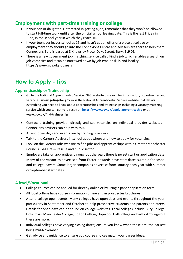### **Employment with part-time training or college**

- If your son or daughter is interested in getting a job, remember that they won't be allowed to start full-time work until after the official school leaving date. This is the last Friday in June, in the school year in which they reach 16.
- If your teenager leaves school at 16 and hasn't got an offer of a place at college or employment they should go into the Connexions Centre and advisers are there to help them. Connexions Bury is based at 3 Knowsley Place, Duke Street, Bury, BL9 0EJ.
- There is a new government job matching service called Find a job which enables a search on job vacancies and it can be narrowed down by job type or skills and locality. **<https://www.gov.uk/jobsearch>**.

## **How to Apply - Tips**

#### **Apprenticeship or Traineeship**

- Go to the National Apprenticeship Service (NAS) website to search for information, opportunities and vacancies. **[www.getingofar.gov.uk](http://www.getingofar.gov.uk/)** is the National Apprenticeship Service website that details everything you need to know about apprenticeships and traineeships including a vacancy matching service which you can get to directly at: **<https://www.gov.uk/apply-apprenticeship>** or at **[www.gov.uk/find-traineeship](http://www.gov.uk/find-traineeship)**
- Contact a training provider directly and see vacancies on individual provider websites Connexions advisers can help with this.
- Attend open days and events run by training providers.
- Talk to the Careers Advisers in school about where and how to apply for vacancies.
- Look on the Greater Jobs website to find jobs and apprenticeships within Greater Manchester Councils, GM Fire & Rescue and public sector.
- Employers take on apprentices throughout the year; there is no set start or application date. Many of the vacancies advertised from Easter onwards have start dates suitable for school and college leavers. Some larger companies advertise from January each year with summer or September start dates.

#### **A level/Vocational**

- College courses can be applied for directly online or by using a paper application form.
- All local college have course information online and in prospectus brochures.
- Attend college open events. Many colleges have open days and events throughout the year, particularly in September and October to help prospective students and parents and carers. Details for open days can be found on college websites. Local colleges include Bury College, Holy Cross, Manchester College, Bolton College, Hopwood Hall College and Salford College but there are more.
- Individual colleges have varying closing dates; ensure you know when these are, the earliest being mid-November.
- Get advice and guidance to ensure you course choices match your career ideas.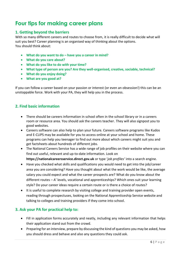# **Four tips for making career plans**

#### **1. Getting beyond the barriers**

With so many different careers and routes to choose from, it is really difficult to decide what will suit you best? Career planning is an organised way of thinking about the options. You should think about:

- **What do you want to do – have you a career in mind?**
- **What do you care about?**
- **What do you like to do with your time?**
- **What type of person are you? Are they well-organised, creative, sociable, technical?**
- **What do you enjoy doing?**
- **What are you good at?**

If you can follow a career based on your passion or interest (or even an obsession!) this can be an unstoppable force. Work with your PA, they will help you in the process.

#### **2. Find basic information**

- There should be careers information in school often in the school library or in a careers room or resource area. You should ask the careers teacher. They will also signpost you to good websites.
- Careers software can also help to plan your future. Careers software programs like Kudos and E-CLIPS may be available for you to access online at your school and home. These programs can help you teenager to find out more about which careers might suit you and get factsheets about hundreds of different jobs.
- The National Careers Service has a wide range of job profiles on their website where you can find out useful, relevant and up-to-date information. Look on **https://nationalcareersservice.direct.gov.uk** or type '*job profiles'* into a search engine.
- Have you checked what skills and qualifications you would need to get into the job/career area you are considering? Have you thought about what the work would be like, the average salary you could expect and what the career prospects are? What do you know about the different routes – A' levels, vocational and apprenticeships? Which ones suit your learning style? Do your career ideas require a certain route or is there a choice of routes?
- It is useful to complete research by visiting college and training provider open events, reading through prospectuses, looking on the National Apprenticeship Service website and talking to colleges and training providers if they come into school.

#### **3. Ask your PA for practical help to:**

- Fill in application forms accurately and neatly, including any relevant information that helps their application stand out from the crowd.
- Preparing for an interview, prepare by discussing the kind of questions you may be asked, how you should dress and behave and also any questions they could ask.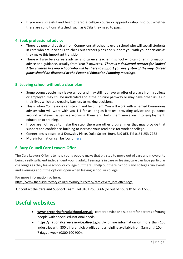If you are successful and been offered a college course or apprenticeship, find out whether there are conditions attached, such as GCSEs they need to pass.

#### **4. Seek professional advice**

- There is a personal adviser from Connexions attached to every school who will see all students in care who are in year 11 to check out careers plans and support you with your decisions as they make this important transition.
- There will also be a careers adviser and careers teacher in school who can offer information, advice and guidance, usually from Year 7 upwards. *There is a dedicated teacher for Looked After children in every school who will be there to support you every step of the way. Career plans should be discussed at the Personal Education Planning meetings*.

#### **5. Leaving school without a clear plan**

- Some young people may leave school and may still not have an offer of a place from a college or employer, may still be undecided about their future pathway or may have other issues in their lives which are creating barriers to making decisions.
- This is when Connexions can step in and help them. You will work with a named Connexions adviser who will work with you 1:1 for as long as it takes, providing advice and guidance around whatever issues are worrying them and help them move on into employment, education or training.
- If you are not ready to make the step, there are other programmes that may provide that support and confidence-building to increase your readiness for work or college.
- Connexions is based at 3 Knowsley Place, Duke Street, Bury, BL9 0EJ, Tel 0161 253 7733
- More information can be found [here](https://www.theburydirectory.co.uk/kb5/bury/directory/service.page?id=aVSX1PzQfBo)

#### **6. [Bury Council Care Leavers](https://www.theburydirectory.co.uk/kb5/bury/directory/service.page?id=BbcWIK3Jd_g) Offer**

The Care Leavers Offer is to help young people make that big step to move out of care and move onto being a self-sufficient independent young adult. Teenagers in care or leaving care can face particular challenges as they leave school or college but there *is* help out there. Schools and colleges run events and evenings about the options open when leaving school or college

For more information go here: [https://www.theburydirectory.co.uk/kb5/bury/directory/careleavers\\_localoffer.page](https://www.theburydirectory.co.uk/kb5/bury/directory/careleavers_localoffer.page)

Or contact the **Care and Support Team**[: Tel 0161 253 6666 \(or out of hours 0161 253 6606\)](tel:0161%20253%206666%20(or%20out%20of%20hours%200161%20253%206606))

### **Useful websites**

- **[www.preparingforadulthood.org.uk](http://www.preparingforadulthood.org.uk/) -** careers advice and support for parents of young people with special educational needs.
- **[https://nationalcareersservice.direct.gov.uk](https://nationalcareersservice.direct.gov.uk/)** online information on more than 130 industries with 800 different job profiles and a helpline available from 8am until 10pm, 7 days a week (0800 100 900).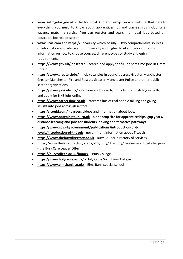- **[www.getingofar.gov.uk](http://www.getingofar.gov.uk/)** the National Apprenticeship Service website that details everything you need to know about apprenticeships and traineeships including a vacancy matching service. You can register and search for ideal jobs based on postcode, job role or sector.
- **[www.ucas.com](http://www.ucas.com/)** and **<https://university.which.co.uk/>** two comprehensive sources of information and advice about university and higher level education; offering information on how to choose courses, different types of study and entry requirements.
- **<https://www.gov.uk/jobsearch>**-search and apply for full or part-time jobs in Great Britain.
- **<https://www.greater.jobs/>** job vacancies in councils across Greater Manchester, Greater Manchester Fire and Rescue, Greater Manchester Police and other public sector organisations.
- **<https://www.jobs.nhs.uk/>** Perform a job search, find jobs that match your skills, and apply for NHS jobs online
- **[https://www.careersbox.co.uk](https://www.careersbox.co.uk/)** careers films of real people talking and giving insight into jobs across all sectors.
- **<https://icould.com/>** careers videos and information about jobs.
- **[https://www.notgoingtouni.co.uk](https://www.notgoingtouni.co.uk/) a one stop site for apprenticeships, gap years, distance learning and jobs for students looking at alternative pathways**
- **[https://www.gov.uk/government/publications/introduction-of-t](https://www.gov.uk/government/publications/introduction-of-t-levels/introduction-of-t-levels)[levels/introduction-of-t-levels](https://www.gov.uk/government/publications/introduction-of-t-levels/introduction-of-t-levels)** - government information about T Levels
- **[https://www.theburydirectory.co.uk](https://www.theburydirectory.co.uk/)** Bury Council directory of services
- https://www.theburydirectory.co.uk/kb5/bury/directory/careleavers localoffer.page - the Bury Care Leaver Offer
- **<https://burycollege.ac.uk/home/>** Bury College
- **<https://www.holycross.ac.uk/> -** Holy Cross Sixth Form College
- **<https://www.elmsbank.co.uk/> -** Elms Bank special school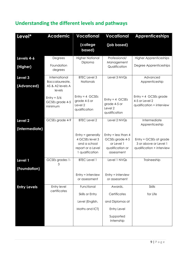| Level*              | <b>Academic</b>                             | <b>Vocational</b>                                                                              | <b>Vocational</b>                                                                        | <b>Apprenticeships</b>                                                       |
|---------------------|---------------------------------------------|------------------------------------------------------------------------------------------------|------------------------------------------------------------------------------------------|------------------------------------------------------------------------------|
|                     |                                             | (college<br>based)                                                                             | (job based)                                                                              |                                                                              |
| Levels 4-6          | Degrees                                     | <b>Higher National</b>                                                                         | Professional/                                                                            | <b>Higher Apprenticeships</b>                                                |
| (Higher)            | Foundation<br>degrees                       | Diploma                                                                                        | Management<br>Qualification                                                              | Degree Apprenticeships                                                       |
| Level 3             | International<br>Baccalaureate,             | <b>BTEC Level 3</b><br><b>Nationals</b>                                                        | Level 3 NVQs                                                                             | Advanced<br>Apprenticeship                                                   |
| (Advanced)          | AS & A2 levels A<br>levels                  |                                                                                                |                                                                                          |                                                                              |
|                     | $Entry = 5/6$<br>GCSEs grade 4-5<br>minimum | $Entry = 4 GCSEs$<br>grade 4-5 or<br>Level 2<br>qualification                                  | $Entry = 4$ GCSEs<br>grade 4-5 or<br>Level 2<br>qualification                            | $Entry = 4$ GCSEs grade<br>4-5 or Level 2<br>qualification + interview       |
| Level 2             | GCSEs grade 4-9                             | <b>BTEC Level 2</b>                                                                            | Level 2 NVQs                                                                             | Intermediate<br>Apprenticeship                                               |
| (Intermediate)      |                                             |                                                                                                |                                                                                          |                                                                              |
|                     |                                             | $Entry = generally$<br>4 GCSEs level 3<br>and a school<br>report or a Level<br>1 qualification | Entry = less than $4$<br>GCSEs grade 4-5<br>or Level 1<br>qualification or<br>assessment | Entry = GCSEs at grade<br>3 or above or Level 1<br>qualification + interview |
| Level 1             | GCSEs grades 1-<br>3                        | <b>BTEC Level 1</b>                                                                            | Level 1 NVQs                                                                             | Traineeship                                                                  |
| (Foundation)        |                                             |                                                                                                |                                                                                          |                                                                              |
|                     |                                             | $Entry = interview$<br>or assessment                                                           | $Entry = interview$<br>or assessment                                                     |                                                                              |
| <b>Entry Levels</b> | Entry level<br>certificates                 | Functional                                                                                     | Awards,                                                                                  | <b>Skills</b>                                                                |
|                     |                                             | Skills or Entry                                                                                | Certificates                                                                             | for Life                                                                     |
|                     |                                             | Level (English,                                                                                | and Diplomas at                                                                          |                                                                              |
|                     |                                             | Maths and ICT)                                                                                 | <b>Entry Level</b>                                                                       |                                                                              |
|                     |                                             |                                                                                                | Supported<br>Internship                                                                  |                                                                              |

# **Understanding the different levels and pathways**